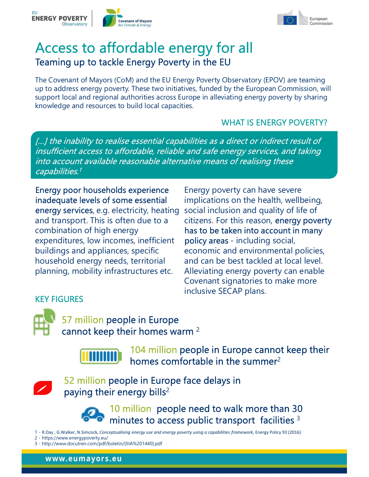



## Access to affordable energy for all Teaming up to tackle Energy Poverty in the EU

The Covenant of Mayors (CoM) and the EU Energy Poverty Observatory (EPOV) are teaming up to address energy poverty. These two initiatives, funded by the European Commission, will support local and regional authorities across Europe in alleviating energy poverty by sharing knowledge and resources to build local capacities.

#### WHAT IS ENERGY POVERTY?

**EXERGY POVERTY**<br> **ACCESS to affordable energy for all**<br> **Teaming up to tackle Energy Poverty in the EU**<br>
The Covenant of Mayors (CoM) and the EU Energy Poverty Observatory (EPOV) are teaming<br>
up to address energy poverty. insufficient access to affordable, reliable and safe energy services, and taking **into a countries are countered in the coverage of the coverage alternative alternative means of realising the coverant of Mayors (CoM) and the EU Energy Poverty Observatory (EPOV) are teaming<br>the Covenant of Mayors (CoM)** 

Energy poor households experience inadequate levels of some essential energy services, e.g. electricity, heating combination of high energy has to be taken into account in many expenditures, low incomes, inefficient policy areas - including social, buildings and appliances, specific household energy needs, territorial planning, mobility infrastructures etc.

and transport. This is often due to a citizens. For this reason, energy poverty Energy poverty can have severe implications on the health, wellbeing, social inclusion and quality of life of ives, funded by the European Commission, will<br>irope in alleviating energy poverty by sharing<br>ies.<br>WHAT IS ENERGY POVERTY?<br>bilities as a direct or indirect result of<br>and safe energy services, and taking<br>ative means of reali economic and environmental policies, and can be best tackled at local level. Alleviating energy poverty can enable Covenant signatories to make more inclusive SECAP plans. KEY FIGURES



57 million people in Europe cannot keep their homes warm 2



104 million people in Europe cannot keep their homes comfortable in the summer $2$ EV FIGURES<br>
1 - R.D. S. Thillion people in Europe<br>
104 million people in Europe cannot keep their<br>
104 million people in Europe cannot keep their<br>
52 million people in Europe face delays in<br>
10 million people in Europe fac



52 million people in Europe face delays in paying their energy bills<sup>2</sup> Covenant signa<br>
2 - https://www.dccuten.com/pdf/beletin/[IIIA%201440].pdf<br>
2 - https://www.energypoverty.eu/<br>
2 - https://www.energypoverty.eu/<br>
2 - https://www.energypoverty.eu/<br>
2 - https://www.energypoverty.eu/<br>
2 - htt INCRES<br>
37 million people in Europe<br>
cannot keep their homes warm<sup>2</sup><br>
104 million people in Europe<br>
52 million people in Europe face delays in<br>
52 million people in Europe face delays in<br>
10 million people need to wall<br>
11



10 million people need to walk more than 30 minutes to access public transport facilities 3

- 
-